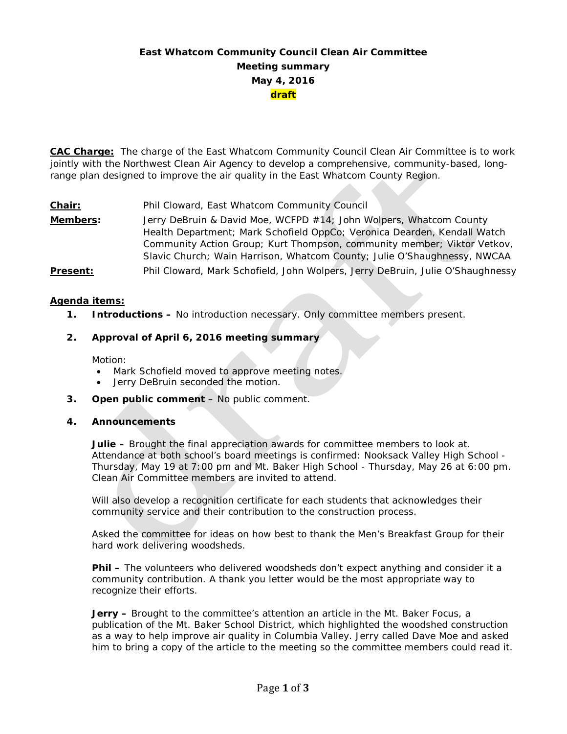# **East Whatcom Community Council Clean Air Committee Meeting summary May 4, 2016 draft**

**CAC Charge:** The charge of the East Whatcom Community Council Clean Air Committee is to work jointly with the Northwest Clean Air Agency to develop a comprehensive, community-based, longrange plan designed to improve the air quality in the East Whatcom County Region.

**Chair:** Phil Cloward, East Whatcom Community Council **Members:** Jerry DeBruin & David Moe, WCFPD #14; John Wolpers, Whatcom County Health Department; Mark Schofield OppCo; Veronica Dearden, Kendall Watch Community Action Group; Kurt Thompson, community member; Viktor Vetkov, Slavic Church; Wain Harrison, Whatcom County; Julie O'Shaughnessy, NWCAA

**Present:** Phil Cloward, Mark Schofield, John Wolpers, Jerry DeBruin, Julie O'Shaughnessy

## **Agenda items:**

**1. Introductions –** No introduction necessary. Only committee members present.

## **2. Approval of April 6, 2016 meeting summary**

Motion:

- Mark Schofield moved to approve meeting notes.
- Jerry DeBruin seconded the motion.
- **3. Open public comment**  No public comment.

#### **4. Announcements**

**Julie –** Brought the final appreciation awards for committee members to look at. Attendance at both school's board meetings is confirmed: Nooksack Valley High School - Thursday, May 19 at 7:00 pm and Mt. Baker High School - Thursday, May 26 at 6:00 pm. Clean Air Committee members are invited to attend.

Will also develop a recognition certificate for each students that acknowledges their community service and their contribution to the construction process.

Asked the committee for ideas on how best to thank the Men's Breakfast Group for their hard work delivering woodsheds.

**Phil –** The volunteers who delivered woodsheds don't expect anything and consider it a community contribution. A thank you letter would be the most appropriate way to recognize their efforts.

**Jerry –** Brought to the committee's attention an article in the Mt. Baker Focus, a publication of the Mt. Baker School District, which highlighted the woodshed construction as a way to help improve air quality in Columbia Valley. Jerry called Dave Moe and asked him to bring a copy of the article to the meeting so the committee members could read it.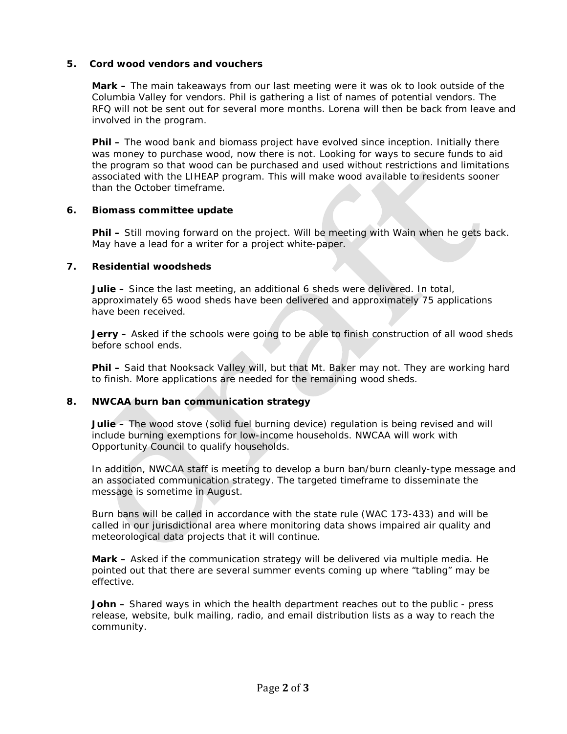## **5. Cord wood vendors and vouchers**

**Mark –** The main takeaways from our last meeting were it was ok to look outside of the Columbia Valley for vendors. Phil is gathering a list of names of potential vendors. The RFQ will not be sent out for several more months. Lorena will then be back from leave and involved in the program.

**Phil –** The wood bank and biomass project have evolved since inception. Initially there was money to purchase wood, now there is not. Looking for ways to secure funds to aid the program so that wood can be purchased and used without restrictions and limitations associated with the LIHEAP program. This will make wood available to residents sooner than the October timeframe.

#### **6. Biomass committee update**

**Phil –** Still moving forward on the project. Will be meeting with Wain when he gets back. May have a lead for a writer for a project white-paper.

#### **7. Residential woodsheds**

**Julie –** Since the last meeting, an additional 6 sheds were delivered. In total, approximately 65 wood sheds have been delivered and approximately 75 applications have been received.

**Jerry –** Asked if the schools were going to be able to finish construction of all wood sheds before school ends.

**Phil –** Said that Nooksack Valley will, but that Mt. Baker may not. They are working hard to finish. More applications are needed for the remaining wood sheds.

#### **8. NWCAA burn ban communication strategy**

**Julie –** The wood stove (solid fuel burning device) regulation is being revised and will include burning exemptions for low-income households. NWCAA will work with Opportunity Council to qualify households.

In addition, NWCAA staff is meeting to develop a burn ban/burn cleanly-type message and an associated communication strategy. The targeted timeframe to disseminate the message is sometime in August.

Burn bans will be called in accordance with the state rule (WAC 173-433) and will be called in our jurisdictional area where monitoring data shows impaired air quality and meteorological data projects that it will continue.

**Mark –** Asked if the communication strategy will be delivered via multiple media. He pointed out that there are several summer events coming up where "tabling" may be effective.

**John –** Shared ways in which the health department reaches out to the public - press release, website, bulk mailing, radio, and email distribution lists as a way to reach the community.